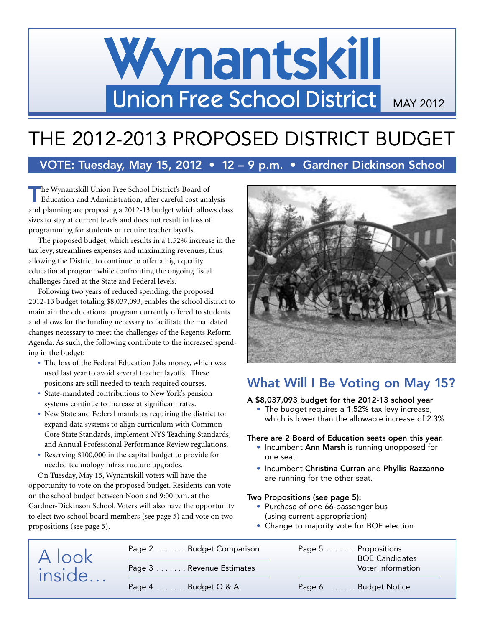# Wynantskill Union Free School District MAY 2012

# THE 2012-2013 PROPOSED DISTRICT BUDGET

## **VOTE: Tuesday, May 15, 2012 • 12 – 9 p.m. • Gardner Dickinson School**

**The Wynantskill Union Free School District's Board of Education and Administration, after careful cost analysis** and planning are proposing a 2012-13 budget which allows class sizes to stay at current levels and does not result in loss of programming for students or require teacher layoffs.

The proposed budget, which results in a 1.52% increase in the tax levy, streamlines expenses and maximizing revenues, thus allowing the District to continue to offer a high quality educational program while confronting the ongoing fiscal challenges faced at the State and Federal levels.

Following two years of reduced spending, the proposed 2012-13 budget totaling \$8,037,093, enables the school district to maintain the educational program currently offered to students and allows for the funding necessary to facilitate the mandated changes necessary to meet the challenges of the Regents Reform Agenda. As such, the following contribute to the increased spending in the budget:

- **•** The loss of the Federal Education Jobs money, which was used last year to avoid several teacher layoffs. These positions are still needed to teach required courses.
- **•** State-mandated contributions to New York's pension systems continue to increase at significant rates.
- **•** New State and Federal mandates requiring the district to: expand data systems to align curriculum with Common Core State Standards, implement NYS Teaching Standards, and Annual Professional Performance Review regulations.
- **•** Reserving \$100,000 in the capital budget to provide for needed technology infrastructure upgrades.

On Tuesday, May 15, Wynantskill voters will have the opportunity to vote on the proposed budget. Residents can vote on the school budget between Noon and 9:00 p.m. at the Gardner-Dickinson School. Voters will also have the opportunity to elect two school board members (see page 5) and vote on two propositions (see page 5).



# **What Will I Be Voting on May 15?**

## **A \$8,037,093 budget for the 2012-13 school year**

• The budget requires a 1.52% tax levy increase, which is lower than the allowable increase of 2.3%

## **There are 2 Board of Education seats open this year.**

- Incumbent **Ann Marsh** is running unopposed for one seat.
- Incumbent **Christina Curran** and **Phyllis Razzanno** are running for the other seat.

## **Two Propositions (see page 5):**

- Purchase of one 66-passenger bus (using current appropriation)
- Change to majority vote for BOE election

| A look<br>inside | Page 2 Budget Comparison              | Page 5 Propositions   | <b>BOE Candidates</b> |  |
|------------------|---------------------------------------|-----------------------|-----------------------|--|
|                  | Page 3 Revenue Estimates              | Voter Information     |                       |  |
|                  | Page $4 \ldots \ldots$ Budget $Q & A$ | Page 6  Budget Notice |                       |  |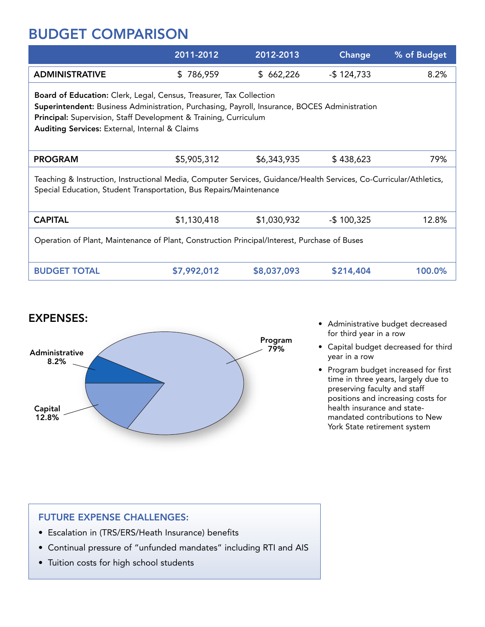# **BUDGET COMPARISON**

|                                                                                                                                                                                                                                                                                            | 2011-2012     | 2012-2013   | Change         | % of Budget |  |
|--------------------------------------------------------------------------------------------------------------------------------------------------------------------------------------------------------------------------------------------------------------------------------------------|---------------|-------------|----------------|-------------|--|
| <b>ADMINISTRATIVE</b>                                                                                                                                                                                                                                                                      | 786,959<br>S. | \$662,226   | $-$ \$124,733  | 8.2%        |  |
| Board of Education: Clerk, Legal, Census, Treasurer, Tax Collection<br>Superintendent: Business Administration, Purchasing, Payroll, Insurance, BOCES Administration<br>Principal: Supervision, Staff Development & Training, Curriculum<br>Auditing Services: External, Internal & Claims |               |             |                |             |  |
| <b>PROGRAM</b>                                                                                                                                                                                                                                                                             | \$5,905,312   | \$6,343,935 | \$438,623      | 79%         |  |
| Teaching & Instruction, Instructional Media, Computer Services, Guidance/Health Services, Co-Curricular/Athletics,<br>Special Education, Student Transportation, Bus Repairs/Maintenance                                                                                                   |               |             |                |             |  |
| <b>CAPITAL</b>                                                                                                                                                                                                                                                                             | \$1,130,418   | \$1,030,932 | $-$ \$ 100,325 | 12.8%       |  |
| Operation of Plant, Maintenance of Plant, Construction Principal/Interest, Purchase of Buses                                                                                                                                                                                               |               |             |                |             |  |
| <b>BUDGET TOTAL</b>                                                                                                                                                                                                                                                                        | \$7,992,012   | \$8,037,093 | \$214,404      | 100.0%      |  |



- Administrative budget decreased for third year in a row
- Capital budget decreased for third year in a row
- Program budget increased for first time in three years, largely due to preserving faculty and staff positions and increasing costs for health insurance and statemandated contributions to New York State retirement system

## **FUTURE EXPENSE CHALLENGES:**

- Escalation in (TRS/ERS/Heath Insurance) benefits
- Continual pressure of "unfunded mandates" including RTI and AIS
- Tuition costs for high school students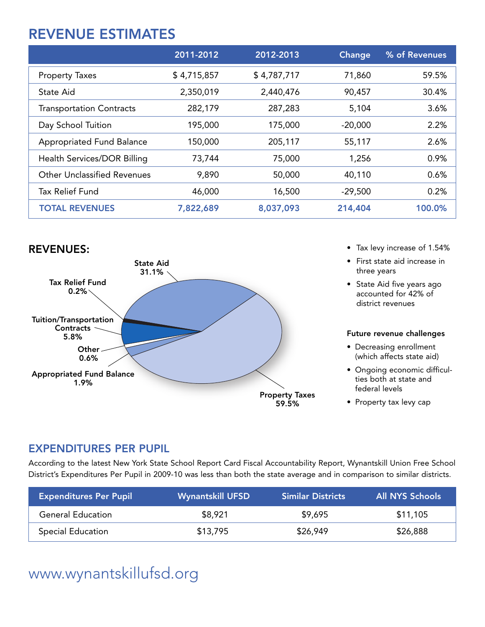# **REVENUE ESTIMATES**

|                                    | 2011-2012   | 2012-2013   | Change    | % of Revenues |
|------------------------------------|-------------|-------------|-----------|---------------|
| <b>Property Taxes</b>              | \$4,715,857 | \$4,787,717 | 71,860    | 59.5%         |
| State Aid                          | 2,350,019   | 2,440,476   | 90,457    | 30.4%         |
| <b>Transportation Contracts</b>    | 282,179     | 287,283     | 5,104     | 3.6%          |
| Day School Tuition                 | 195,000     | 175,000     | $-20,000$ | 2.2%          |
| <b>Appropriated Fund Balance</b>   | 150,000     | 205,117     | 55,117    | 2.6%          |
| Health Services/DOR Billing        | 73,744      | 75,000      | 1,256     | 0.9%          |
| <b>Other Unclassified Revenues</b> | 9,890       | 50,000      | 40,110    | 0.6%          |
| <b>Tax Relief Fund</b>             | 46,000      | 16,500      | $-29,500$ | 0.2%          |
| <b>TOTAL REVENUES</b>              | 7,822,689   | 8,037,093   | 214,404   | 100.0%        |



- 
- First state aid increase in three years
- State Aid five years ago accounted for 42% of district revenues

## **Future revenue challenges**

- Decreasing enrollment (which affects state aid)
- Ongoing economic difficulties both at state and federal levels
- Property tax levy cap

## **EXPENDITURES PER PUPIL**

According to the latest New York State School Report Card Fiscal Accountability Report, Wynantskill Union Free School District's Expenditures Per Pupil in 2009-10 was less than both the state average and in comparison to similar districts.

| <b>Expenditures Per Pupil</b> | <b>Wynantskill UFSD</b> | <b>Similar Districts</b> | All NYS Schools |
|-------------------------------|-------------------------|--------------------------|-----------------|
| <b>General Education</b>      | \$8,921                 | \$9,695                  | \$11,105        |
| Special Education             | \$13,795                | \$26,949                 | \$26,888        |

# www.wynantskillufsd.org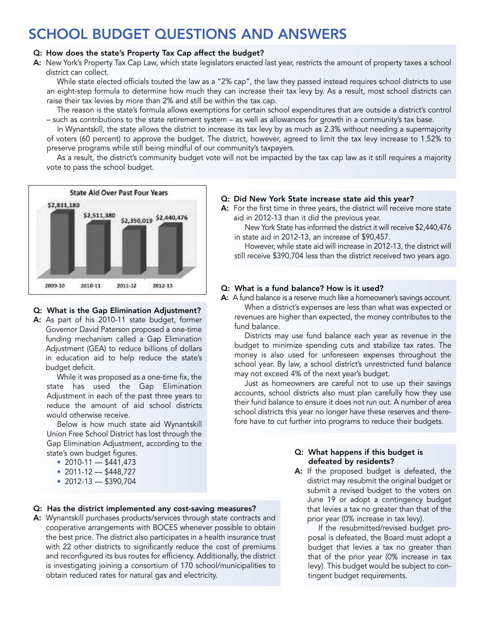# **SCHOOL BUDGET QUESTIONS AND ANSWERS**

## **Q: How does the state's Property Tax Cap affect the budget?**

**A:** New York's Property Tax Cap Law, which state legislators enacted last year, restricts the amount of property taxes a school district can collect.

While state elected officials touted the law as a "2% cap", the law they passed instead requires school districts to use an eight-step formula to determine how much they can increase their tax levy by. As a result, most school districts can raise their tax levies by more than 2% and still be within the tax cap.

The reason is the state's formula allows exemptions for certain school expenditures that are outside a district's control – such as contributions to the state retirement system – as well as allowances for growth in a community's tax base.

In Wynantskill, the state allows the district to increase its tax levy by as much as 2.3% without needing a supermajority of voters (60 percent) to approve the budget. The district, however, agreed to limit the tax levy increase to 1.52% to preserve programs while still being mindful of our community's taxpayers.

As a result, the district's community budget vote will not be impacted by the tax cap law as it still requires a majority vote to pass the school budget.



## **Q: What is the Gap Elimination Adjustment?**

**A:** As part of his 2010-11 state budget, former Governor David Paterson proposed a one-time funding mechanism called a Gap Elimination Adjustment (GEA) to reduce billions of dollars in education aid to help reduce the state's budget deficit.

While it was proposed as a one-time fix, the state has used the Gap Elimination Adjustment in each of the past three years to reduce the amount of aid school districts would otherwise receive.

Below is how much state aid Wynantskill Union Free School District has lost through the Gap Elimination Adjustment, according to the state's own budget figures.

- 2010-11  $-$  \$441,473
- 2011-12  $-$  \$448,727
- 2012-13 \$390,704

## **Q: Has the district implemented any cost-saving measures?**

**A:** Wynantskill purchases products/services through state contracts and cooperative arrangements with BOCES whenever possible to obtain the best price. The district also participates in a health insurance trust with 22 other districts to significantly reduce the cost of premiums and reconfigured its bus routes for efficiency. Additionally, the district is investigating joining a consortium of 170 school/municipalities to obtain reduced rates for natural gas and electricity.

## **Q: Did New York State increase state aid this year?**

**A:** For the first time in three years, the district will receive more state aid in 2012-13 than it did the previous year.

New York State has informed the district it will receive \$2,440,476 in state aid in 2012-13, an increase of \$90,457.

However, while state aid will increase in 2012-13, the district will still receive \$390,704 less than the district received two years ago.

## **Q: What is a fund balance? How is it used?**

**A:** A fund balance is a reserve much like a homeowner's savings account. When a district's expenses are less than what was expected or revenues are higher than expected, the money contributes to the fund balance.

Districts may use fund balance each year as revenue in the budget to minimize spending cuts and stabilize tax rates. The money is also used for unforeseen expenses throughout the school year. By law, a school district's unrestricted fund balance may not exceed 4% of the next year's budget.

Just as homeowners are careful not to use up their savings accounts, school districts also must plan carefully how they use their fund balance to ensure it does not run out. A number of area school districts this year no longer have these reserves and therefore have to cut further into programs to reduce their budgets.

## **Q: What happens if this budget is defeated by residents?**

**A:** If the proposed budget is defeated, the district may resubmit the original budget or submit a revised budget to the voters on June 19 or adopt a contingency budget that levies a tax no greater than that of the prior year (0% increase in tax levy).

If the resubmitted/revised budget proposal is defeated, the Board must adopt a budget that levies a tax no greater than that of the prior year (0% increase in tax levy). This budget would be subject to contingent budget requirements.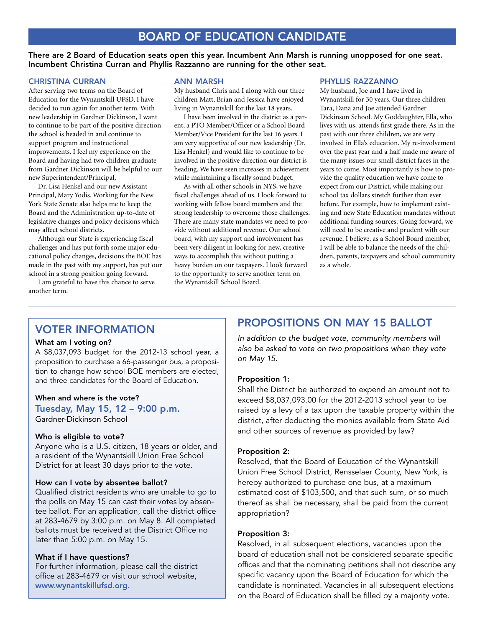## **BOARD OF EDUCATION CANDIDATE**

There are 2 Board of Education seats open this year. Incumbent Ann Marsh is running unopposed for one seat. **Incumbent Christina Curran and Phyllis Razzanno are running for the other seat.**

#### **CHRISTINA CURRAN**

After serving two terms on the Board of Education for the Wynantskill UFSD, I have decided to run again for another term. With new leadership in Gardner Dickinson, I want to continue to be part of the positive direction the school is headed in and continue to support program and instructional improvements. I feel my experience on the Board and having had two children graduate from Gardner Dickinson will be helpful to our new Superintendent/Principal,

Dr. Lisa Henkel and our new Assistant Principal, Mary Yodis. Working for the New York State Senate also helps me to keep the Board and the Administration up-to-date of legislative changes and policy decisions which may affect school districts.

Although our State is experiencing fiscal challenges and has put forth some major educational policy changes, decisions the BOE has made in the past with my support, has put our school in a strong position going forward.

I am grateful to have this chance to serve another term.

#### **ANN MARSH**

My husband Chris and I along with our three children Matt, Brian and Jessica have enjoyed living in Wynantskill for the last 18 years.

I have been involved in the district as a parent, a PTO Member/Officer or a School Board Member/Vice President for the last 16 years. I am very supportive of our new leadership (Dr. Lisa Henkel) and would like to continue to be involved in the positive direction our district is heading. We have seen increases in achievement while maintaining a fiscally sound budget.

As with all other schools in NYS, we have fiscal challenges ahead of us. I look forward to working with fellow board members and the strong leadership to overcome those challenges. There are many state mandates we need to provide without additional revenue. Our school board, with my support and involvement has been very diligent in looking for new, creative ways to accomplish this without putting a heavy burden on our taxpayers. I look forward to the opportunity to serve another term on the Wynantskill School Board.

#### **PHYLLIS RAZZANNO**

My husband, Joe and I have lived in Wynantskill for 30 years. Our three children Tara, Dana and Joe attended Gardner Dickinson School. My Goddaughter, Ella, who lives with us, attends first grade there. As in the past with our three children, we are very involved in Ella's education. My re-involvement over the past year and a half made me aware of the many issues our small district faces in the years to come. Most importantly is how to provide the quality education we have come to expect from our District, while making our school tax dollars stretch further than ever before. For example, how to implement existing and new State Education mandates without additional funding sources. Going forward, we will need to be creative and prudent with our revenue. I believe, as a School Board member, I will be able to balance the needs of the children, parents, taxpayers and school community as a whole.

## **VOTER INFORMATION**

#### **What am I voting on?**

A \$8,037,093 budget for the 2012-13 school year, a proposition to purchase a 66-passenger bus, a proposition to change how school BOE members are elected, and three candidates for the Board of Education.

## **When and where is the vote? Tuesday, May 15, 12 – 9:00 p.m.**

Gardner-Dickinson School

#### **Who is eligible to vote?**

Anyone who is a U.S. citizen, 18 years or older, and a resident of the Wynantskill Union Free School District for at least 30 days prior to the vote.

#### **How can I vote by absentee ballot?**

Qualified district residents who are unable to go to the polls on May 15 can cast their votes by absentee ballot. For an application, call the district office at 283-4679 by 3:00 p.m. on May 8. All completed ballots must be received at the District Office no later than 5:00 p.m. on May 15.

### **What if I have questions?**

For further information, please call the district office at 283-4679 or visit our school website, **www.wynantskillufsd.org.**

## **PROPOSITIONS ON MAY 15 BALLOT**

*In addition to the budget vote, community members will also be asked to vote on two propositions when they vote on May 15.*

## **Proposition 1:**

Shall the District be authorized to expend an amount not to exceed \$8,037,093.00 for the 2012-2013 school year to be raised by a levy of a tax upon the taxable property within the district, after deducting the monies available from State Aid and other sources of revenue as provided by law?

#### **Proposition 2:**

Resolved, that the Board of Education of the Wynantskill Union Free School District, Rensselaer County, New York, is hereby authorized to purchase one bus, at a maximum estimated cost of \$103,500, and that such sum, or so much thereof as shall be necessary, shall be paid from the current appropriation?

## **Proposition 3:**

Resolved, in all subsequent elections, vacancies upon the board of education shall not be considered separate specific offices and that the nominating petitions shall not describe any specific vacancy upon the Board of Education for which the candidate is nominated. Vacancies in all subsequent elections on the Board of Education shall be filled by a majority vote.